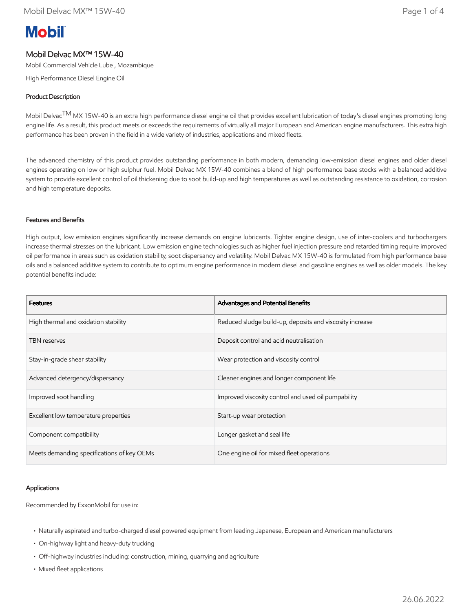# **Mobil**

# Mobil Delvac MX™ 15W-40

Mobil Commercial Vehicle Lube , Mozambique

High Performance Diesel Engine Oil

# Product Description

Mobil Delvac<sup>TM</sup> MX 15W-40 is an extra high performance diesel engine oil that provides excellent lubrication of today's diesel engines promoting long engine life. As a result, this product meets or exceeds the requirements of virtually all major European and American engine manufacturers. This extra high performance has been proven in the field in a wide variety of industries, applications and mixed fleets.

The advanced chemistry of this product provides outstanding performance in both modern, demanding low-emission diesel engines and older diesel engines operating on low or high sulphur fuel. Mobil Delvac MX 15W-40 combines a blend of high performance base stocks with a balanced additive system to provide excellent control of oil thickening due to soot build-up and high temperatures as well as outstanding resistance to oxidation, corrosion and high temperature deposits.

## Features and Benefits

High output, low emission engines significantly increase demands on engine lubricants. Tighter engine design, use of inter-coolers and turbochargers increase thermal stresses on the lubricant. Low emission engine technologies such as higher fuel injection pressure and retarded timing require improved oil performance in areas such as oxidation stability, soot dispersancy and volatility. Mobil Delvac MX 15W-40 is formulated from high performance base oils and a balanced additive system to contribute to optimum engine performance in modern diesel and gasoline engines as well as older models. The key potential benefits include:

| <b>Features</b>                            | Advantages and Potential Benefits                        |
|--------------------------------------------|----------------------------------------------------------|
| High thermal and oxidation stability       | Reduced sludge build-up, deposits and viscosity increase |
| <b>TBN</b> reserves                        | Deposit control and acid neutralisation                  |
| Stay-in-grade shear stability              | Wear protection and viscosity control                    |
| Advanced detergency/dispersancy            | Cleaner engines and longer component life                |
| Improved soot handling                     | Improved viscosity control and used oil pumpability      |
| Excellent low temperature properties       | Start-up wear protection                                 |
| Component compatibility                    | Longer gasket and seal life                              |
| Meets demanding specifications of key OEMs | One engine oil for mixed fleet operations                |

### Applications

Recommended by ExxonMobil for use in:

- Naturally aspirated and turbo-charged diesel powered equipment from leading Japanese, European and American manufacturers
- On-highway light and heavy-duty trucking
- Off-highway industries including: construction, mining, quarrying and agriculture
- Mixed fleet applications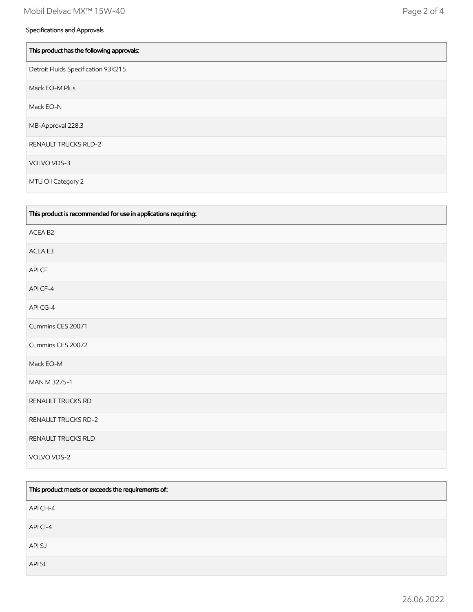| This product has the following approvals: |
|-------------------------------------------|
| Detroit Fluids Specification 93K215       |
| Mack EO-M Plus                            |
| Mack EO-N                                 |
| MB-Approval 228.3                         |
| <b>RENAULT TRUCKS RLD-2</b>               |
| VOLVO VDS-3                               |
| MTU Oil Category 2                        |

| This product is recommended for use in applications requiring: |
|----------------------------------------------------------------|
| ACEA B2                                                        |
| ACEA E3                                                        |
| API CF                                                         |
| API CF-4                                                       |
| API CG-4                                                       |
| Cummins CES 20071                                              |
| Cummins CES 20072                                              |
| Mack EO-M                                                      |
| MAN M 3275-1                                                   |
| RENAULT TRUCKS RD                                              |
| <b>RENAULT TRUCKS RD-2</b>                                     |
| RENAULT TRUCKS RLD                                             |
| VOLVO VDS-2                                                    |

| This product meets or exceeds the requirements of: |  |
|----------------------------------------------------|--|
| API CH-4                                           |  |
| API CI-4                                           |  |
| API SJ                                             |  |
| API SL                                             |  |